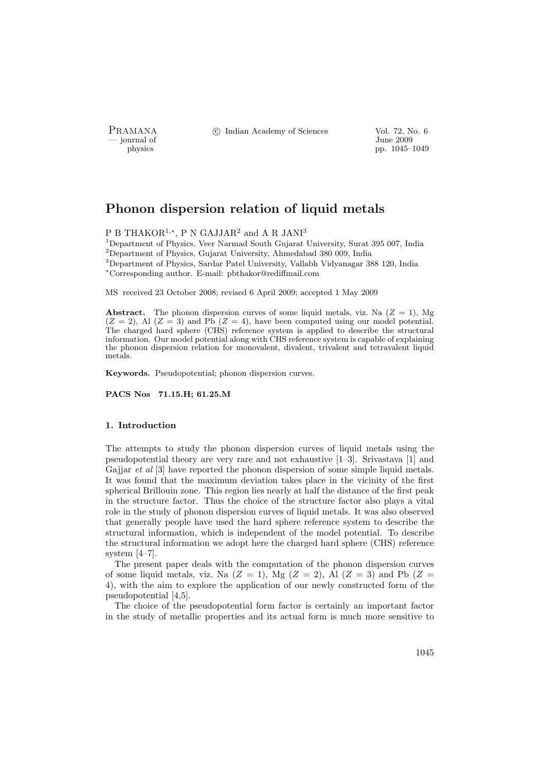- journal of<br>physics

PRAMANA <sup>©</sup>© Indian Academy of Sciences Vol. 72, No. 6<br>
— journal of June 2009

pp. 1045–1049

# Phonon dispersion relation of liquid metals

 $P$  B THAKOR<sup>1,\*</sup>, P N GAJJAR<sup>2</sup> and A R JANI<sup>3</sup>

Department of Physics, Veer Narmad South Gujarat University, Surat 395 007, India Department of Physics, Gujarat University, Ahmedabad 380 009, India Department of Physics, Sardar Patel University, Vallabh Vidyanagar 388 120, India <sup>∗</sup>Corresponding author. E-mail: pbthakor@rediffmail.com

MS received 23 October 2008; revised 6 April 2009; accepted 1 May 2009

Abstract. The phonon dispersion curves of some liquid metals, viz. Na  $(Z = 1)$ , Mg  $(Z = 2)$ , Al  $(Z = 3)$  and Pb  $(Z = 4)$ , have been computed using our model potential. The charged hard sphere (CHS) reference system is applied to describe the structural information. Our model potential along with CHS reference system is capable of explaining the phonon dispersion relation for monovalent, divalent, trivalent and tetravalent liquid metals.

Keywords. Pseudopotential; phonon dispersion curves.

PACS Nos 71.15.H; 61.25.M

## 1. Introduction

The attempts to study the phonon dispersion curves of liquid metals using the pseudopotential theory are very rare and not exhaustive [1–3]. Srivastava [1] and Gajjar *et al* [3] have reported the phonon dispersion of some simple liquid metals. It was found that the maximum deviation takes place in the vicinity of the first spherical Brillouin zone. This region lies nearly at half the distance of the first peak in the structure factor. Thus the choice of the structure factor also plays a vital role in the study of phonon dispersion curves of liquid metals. It was also observed that generally people have used the hard sphere reference system to describe the structural information, which is independent of the model potential. To describe the structural information we adopt here the charged hard sphere (CHS) reference system [4–7].

The present paper deals with the computation of the phonon dispersion curves of some liquid metals, viz. Na  $(Z = 1)$ , Mg  $(Z = 2)$ , Al  $(Z = 3)$  and Pb  $(Z = 3)$ 4), with the aim to explore the application of our newly constructed form of the pseudopotential [4,5].

The choice of the pseudopotential form factor is certainly an important factor in the study of metallic properties and its actual form is much more sensitive to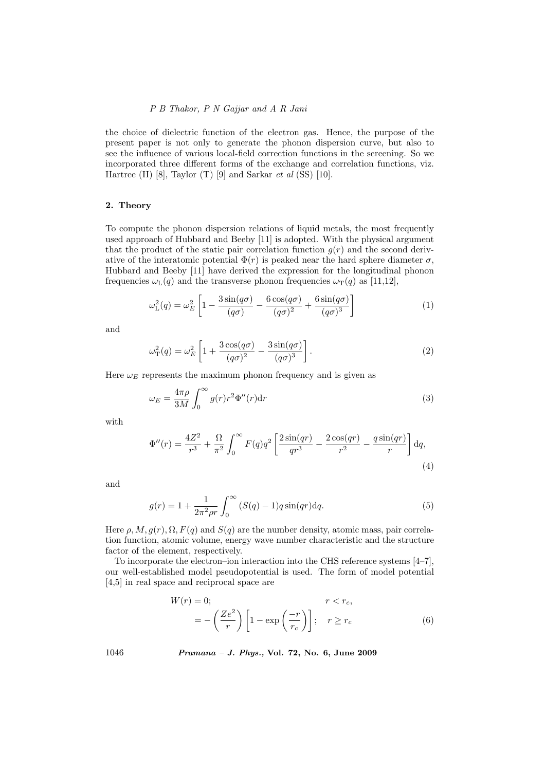# P B Thakor, P N Gajjar and A R Jani

the choice of dielectric function of the electron gas. Hence, the purpose of the present paper is not only to generate the phonon dispersion curve, but also to see the influence of various local-field correction functions in the screening. So we incorporated three different forms of the exchange and correlation functions, viz. Hartree (H)  $[8]$ , Taylor (T)  $[9]$  and Sarkar et al  $(SS)$   $[10]$ .

# 2. Theory

To compute the phonon dispersion relations of liquid metals, the most frequently used approach of Hubbard and Beeby [11] is adopted. With the physical argument that the product of the static pair correlation function  $g(r)$  and the second derivative of the interatomic potential  $\Phi(r)$  is peaked near the hard sphere diameter  $\sigma$ , Hubbard and Beeby [11] have derived the expression for the longitudinal phonon frequencies  $\omega_{\text{L}}(q)$  and the transverse phonon frequencies  $\omega_{\text{T}}(q)$  as [11,12],

$$
\omega_{\rm L}^2(q) = \omega_E^2 \left[ 1 - \frac{3\sin(q\sigma)}{(q\sigma)} - \frac{6\cos(q\sigma)}{(q\sigma)^2} + \frac{6\sin(q\sigma)}{(q\sigma)^3} \right]
$$
(1)

and

$$
\omega_{\rm T}^2(q) = \omega_E^2 \left[ 1 + \frac{3\cos(q\sigma)}{(q\sigma)^2} - \frac{3\sin(q\sigma)}{(q\sigma)^3} \right].
$$
 (2)

Here  $\omega_E$  represents the maximum phonon frequency and is given as

$$
\omega_E = \frac{4\pi\rho}{3M} \int_0^\infty g(r)r^2 \Phi''(r) dr \tag{3}
$$

with

$$
\Phi''(r) = \frac{4Z^2}{r^3} + \frac{\Omega}{\pi^2} \int_0^\infty F(q)q^2 \left[ \frac{2\sin(qr)}{qr^3} - \frac{2\cos(qr)}{r^2} - \frac{q\sin(qr)}{r} \right] dq,
$$
\n(4)

and

$$
g(r) = 1 + \frac{1}{2\pi^2 \rho r} \int_0^\infty (S(q) - 1)q \sin(qr) \, dq. \tag{5}
$$

Here  $\rho$ ,  $M$ ,  $g(r)$ ,  $\Omega$ ,  $F(q)$  and  $S(q)$  are the number density, atomic mass, pair correlation function, atomic volume, energy wave number characteristic and the structure factor of the element, respectively.

To incorporate the electron–ion interaction into the CHS reference systems [4–7], our well-established model pseudopotential is used. The form of model potential [4,5] in real space and reciprocal space are

$$
W(r) = 0;
$$
  
=  $-\left(\frac{Ze^2}{r}\right)\left[1 - \exp\left(\frac{-r}{r_c}\right)\right]; \quad r \ge r_c$  (6)

1046 Pramana – J. Phys., Vol. 72, No. 6, June 2009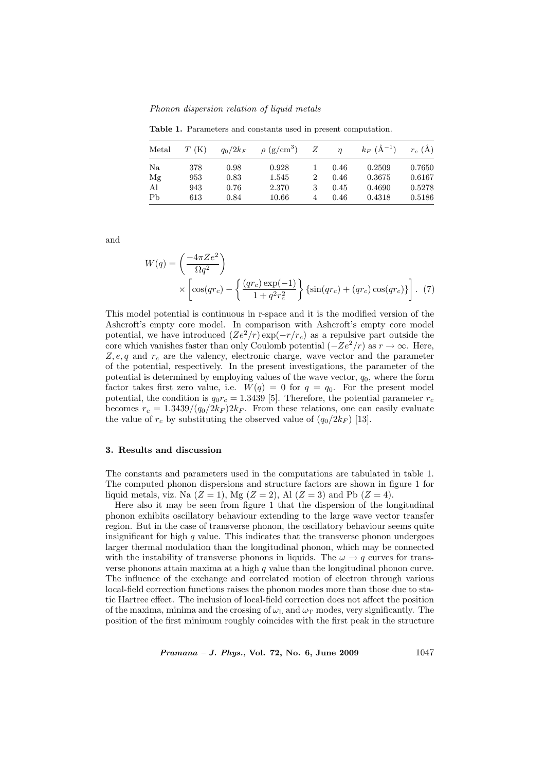Phonon dispersion relation of liquid metals

Table 1. Parameters and constants used in present computation.

| Metal | T(K) | $q_0/2k_F$ | $\rho$ (g/cm <sup>3</sup> ) | Z              | $\eta$ | $k_F~(\rm \AA^{-1})$ | $r_c(A)$ |
|-------|------|------------|-----------------------------|----------------|--------|----------------------|----------|
| Na    | 378  | 0.98       | 0.928                       |                | 0.46   | 0.2509               | 0.7650   |
| Mg    | 953  | 0.83       | 1.545                       | $\overline{2}$ | 0.46   | 0.3675               | 0.6167   |
| Al    | 943  | 0.76       | 2.370                       | 3              | 0.45   | 0.4690               | 0.5278   |
| Pb    | 613  | 0.84       | 10.66                       | 4              | 0.46   | 0.4318               | 0.5186   |

and

$$
W(q) = \left(\frac{-4\pi Ze^2}{\Omega q^2}\right)
$$

$$
\times \left[\cos(qr_c) - \left\{\frac{(qr_c)\exp(-1)}{1+q^2r_c^2}\right\} \left\{\sin(qr_c) + (qr_c)\cos(qr_c)\right\}\right].
$$
 (7)

This model potential is continuous in r-space and it is the modified version of the Ashcroft's empty core model. In comparison with Ashcroft's empty core model potential, we have introduced  $(Ze^2/r) \exp(-r/r_c)$  as a repulsive part outside the core which vanishes faster than only Coulomb potential ( $-Ze^2/r$ ) as  $r \to \infty$ . Here,  $Z, e, q$  and  $r_c$  are the valency, electronic charge, wave vector and the parameter of the potential, respectively. In the present investigations, the parameter of the potential is determined by employing values of the wave vector,  $q_0$ , where the form factor takes first zero value, i.e.  $W(q) = 0$  for  $q = q_0$ . For the present model potential, the condition is  $q_0r_c = 1.3439$  [5]. Therefore, the potential parameter  $r_c$ becomes  $r_c = 1.3439/(q_0/2k_F)2k_F$ . From these relations, one can easily evaluate the value of  $r_c$  by substituting the observed value of  $(q_0/2k_F)$  [13].

#### 3. Results and discussion

The constants and parameters used in the computations are tabulated in table 1. The computed phonon dispersions and structure factors are shown in figure 1 for liquid metals, viz. Na  $(Z = 1)$ , Mg  $(Z = 2)$ , Al  $(Z = 3)$  and Pb  $(Z = 4)$ .

Here also it may be seen from figure 1 that the dispersion of the longitudinal phonon exhibits oscillatory behaviour extending to the large wave vector transfer region. But in the case of transverse phonon, the oscillatory behaviour seems quite insignificant for high  $q$  value. This indicates that the transverse phonon undergoes larger thermal modulation than the longitudinal phonon, which may be connected with the instability of transverse phonons in liquids. The  $\omega \to q$  curves for transverse phonons attain maxima at a high  $q$  value than the longitudinal phonon curve. The influence of the exchange and correlated motion of electron through various local-field correction functions raises the phonon modes more than those due to static Hartree effect. The inclusion of local-field correction does not affect the position of the maxima, minima and the crossing of  $\omega_L$  and  $\omega_T$  modes, very significantly. The position of the first minimum roughly coincides with the first peak in the structure

 $Pramana - J. Phys., Vol. 72, No. 6, June 2009$  1047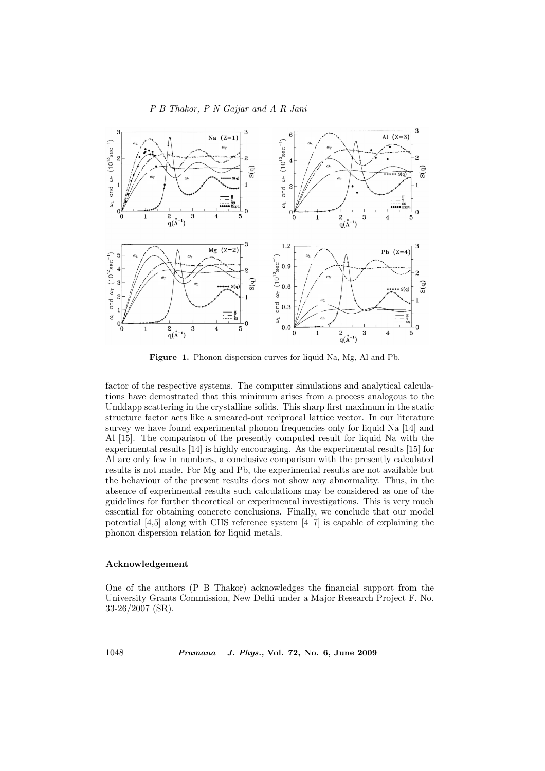# P B Thakor, P N Gajjar and A R Jani



Figure 1. Phonon dispersion curves for liquid Na, Mg, Al and Pb.

factor of the respective systems. The computer simulations and analytical calculations have demostrated that this minimum arises from a process analogous to the Umklapp scattering in the crystalline solids. This sharp first maximum in the static structure factor acts like a smeared-out reciprocal lattice vector. In our literature survey we have found experimental phonon frequencies only for liquid Na [14] and Al [15]. The comparison of the presently computed result for liquid Na with the experimental results [14] is highly encouraging. As the experimental results [15] for Al are only few in numbers, a conclusive comparison with the presently calculated results is not made. For Mg and Pb, the experimental results are not available but the behaviour of the present results does not show any abnormality. Thus, in the absence of experimental results such calculations may be considered as one of the guidelines for further theoretical or experimental investigations. This is very much essential for obtaining concrete conclusions. Finally, we conclude that our model potential [4,5] along with CHS reference system [4–7] is capable of explaining the phonon dispersion relation for liquid metals.

#### Acknowledgement

One of the authors (P B Thakor) acknowledges the financial support from the University Grants Commission, New Delhi under a Major Research Project F. No. 33-26/2007 (SR).

1048 Pramana – J. Phys., Vol. 72, No. 6, June 2009